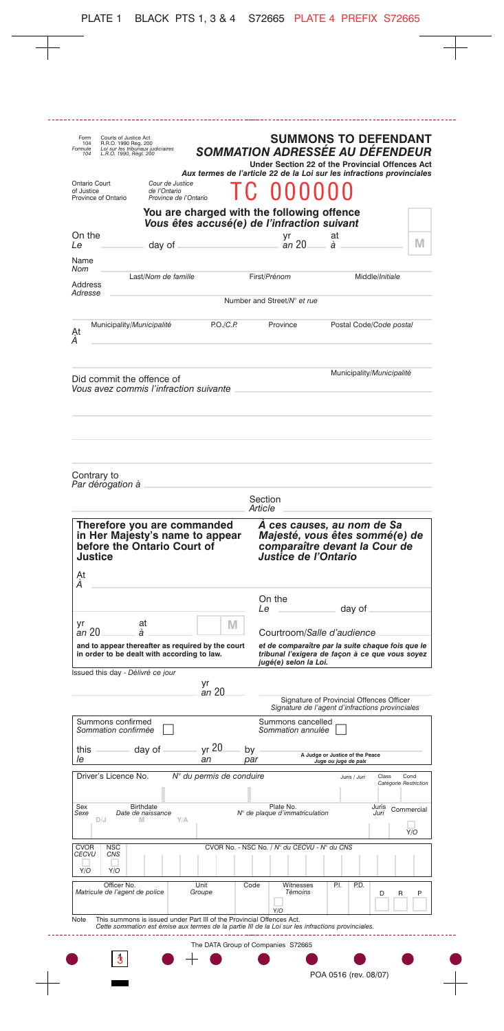| Loi sur les tribuñaux judiciaires<br>L.R.O. 1990, Règl. 200<br>104 |                                                          | Aux termes de l'article 22 de la Loi sur les infractions provinciales                     |         | Under Section 22 of the Provincial Offences Act                                                                                                             |                                 |              | SOMMATION ADRESSÉE AU DÉFENDEUR |                       |
|--------------------------------------------------------------------|----------------------------------------------------------|-------------------------------------------------------------------------------------------|---------|-------------------------------------------------------------------------------------------------------------------------------------------------------------|---------------------------------|--------------|---------------------------------|-----------------------|
| Ontario Court<br>of Justice<br>Province of Ontario                 | Cour de Justice<br>de l'Ontario<br>Province de l'Ontario |                                                                                           |         |                                                                                                                                                             |                                 |              |                                 |                       |
|                                                                    |                                                          | You are charged with the following offence<br>Vous êtes accusé(e) de l'infraction suivant |         |                                                                                                                                                             |                                 |              |                                 |                       |
| On the<br>Le                                                       | day of                                                   |                                                                                           |         | yr<br>an 20                                                                                                                                                 | at<br>à                         |              |                                 | M                     |
| Name<br>Nom                                                        |                                                          |                                                                                           |         |                                                                                                                                                             |                                 |              |                                 |                       |
| Address<br>Adresse                                                 | Last/Nom de famille                                      |                                                                                           |         | First/Prénom                                                                                                                                                |                                 |              | Middle/Initiale                 |                       |
|                                                                    |                                                          |                                                                                           |         | Number and Street/N° et rue                                                                                                                                 |                                 |              |                                 |                       |
| Municipality/Municipalité<br>Ąt<br>А                               |                                                          | PO./C.P.                                                                                  |         | Province                                                                                                                                                    |                                 |              | Postal Code/Code postal         |                       |
| Did commit the offence of                                          |                                                          |                                                                                           |         |                                                                                                                                                             |                                 |              | Municipality/Municipalité       |                       |
| Vous avez commis l'infraction suivante                             |                                                          |                                                                                           |         |                                                                                                                                                             |                                 |              |                                 |                       |
|                                                                    |                                                          |                                                                                           |         |                                                                                                                                                             |                                 |              |                                 |                       |
|                                                                    |                                                          |                                                                                           |         |                                                                                                                                                             |                                 |              |                                 |                       |
|                                                                    |                                                          |                                                                                           |         |                                                                                                                                                             |                                 |              |                                 |                       |
| Contrary to<br>Par dérogation à                                    |                                                          |                                                                                           |         |                                                                                                                                                             |                                 |              |                                 |                       |
|                                                                    |                                                          |                                                                                           | Section |                                                                                                                                                             |                                 |              |                                 |                       |
| Therefore you are commanded                                        |                                                          |                                                                                           | Article | A ces causes, au nom de Sa                                                                                                                                  |                                 |              |                                 |                       |
| before the Ontario Court of<br>Justice<br>At                       |                                                          | in Her Majesty's name to appear                                                           |         | Majesté, vous êtes sommé(e) de<br>comparaître devant la Cour de<br>Justice de l'Ontario                                                                     |                                 |              |                                 |                       |
| А                                                                  |                                                          |                                                                                           |         | On the                                                                                                                                                      |                                 |              |                                 |                       |
| ۷r                                                                 | at                                                       | M                                                                                         | Le      |                                                                                                                                                             |                                 | day of       |                                 |                       |
| an 20<br>in order to be dealt with according to law.               | á                                                        | and to appear thereafter as required by the court                                         |         | Courtroom/Salle d'audience<br>et de comparaître par la suite chaque fois que le<br>tribunal l'exigera de façon à ce que vous soyez<br>jugé(e) selon la Loi. |                                 |              |                                 |                       |
|                                                                    |                                                          | yr                                                                                        |         |                                                                                                                                                             |                                 |              |                                 |                       |
| Issued this day - Délivré ce jour                                  |                                                          | an 20                                                                                     |         | Signature of Provincial Offences Officer<br>Signature de l'agent d'infractions provinciales                                                                 |                                 |              |                                 |                       |
| Summons confirmed<br>Sommation confirmée                           |                                                          |                                                                                           |         | Summons cancelled<br>Sommation annulée                                                                                                                      |                                 |              |                                 |                       |
| this                                                               | day of                                                   | yr 20                                                                                     | by      |                                                                                                                                                             | A Judge or Justice of the Peace |              |                                 |                       |
| le<br>Driver's Licence No.                                         |                                                          | an<br>N° du permis de conduire                                                            | par     |                                                                                                                                                             | Juge ou juge de paix            | Juris / Juri | Class                           | Cond                  |
|                                                                    |                                                          |                                                                                           |         |                                                                                                                                                             |                                 |              |                                 | Catégorie Restriction |
| Sex<br>Sexe<br>D/J                                                 | Birthdate<br>Date de naissance<br>M                      | Y/A                                                                                       |         | Plate No.<br>N° de plaque d'immatriculation                                                                                                                 |                                 |              | Juris<br>Juri                   | Commercial            |
| <b>CVOR</b><br><b>NSC</b><br>CECVU<br>CNS                          |                                                          |                                                                                           |         | CVOR No. - NSC No. / N° du CECVU - N° du CNS                                                                                                                |                                 |              |                                 | Y/O                   |
| Y/O<br>Y/O                                                         |                                                          |                                                                                           |         |                                                                                                                                                             |                                 |              |                                 |                       |
| Officer No.<br>Matricule de l'agent de police<br>Note              |                                                          | Unit<br>Groupe<br>This summons is issued under Part III of the Provincial Offences Act.   | Code    | Witnesses<br>Témoins<br>Y/O                                                                                                                                 | P.I.                            | P.D.         | D                               | P<br>R                |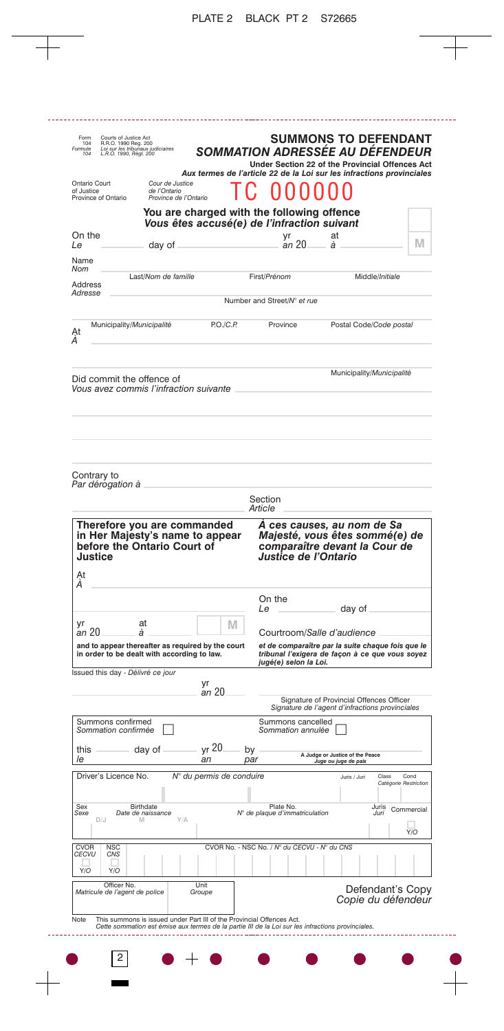| Form<br>104<br><sup>E</sup> ormule<br>104 | Courts of Justice Act<br>R.R.O. 1990 Reg. 200<br>Loi sur les tribunaux judiciaires<br>L.R.O. 1990, Règl. 200 |                                                                                               | SOMMATION ADRESSÉE AU DÉFENDEUR<br>Aux termes de l'article 22 de la Loi sur les infractions provinciales                                                                   |         | Under Section 22 of the Provincial Offences Act                                                                               |         | <b>SUMMONS TO DEFENDANT</b>                                                                 |                       |                   |
|-------------------------------------------|--------------------------------------------------------------------------------------------------------------|-----------------------------------------------------------------------------------------------|----------------------------------------------------------------------------------------------------------------------------------------------------------------------------|---------|-------------------------------------------------------------------------------------------------------------------------------|---------|---------------------------------------------------------------------------------------------|-----------------------|-------------------|
| Ontario Court<br>of Justice               | Province of Ontario                                                                                          | Cour de Justice<br>de l'Ontario<br>Province de l'Ontario                                      |                                                                                                                                                                            |         |                                                                                                                               |         |                                                                                             |                       |                   |
|                                           |                                                                                                              |                                                                                               | You are charged with the following offence<br>Vous êtes accusé(e) de l'infraction suivant                                                                                  |         |                                                                                                                               |         |                                                                                             |                       |                   |
| On the<br>Le                              |                                                                                                              | day of                                                                                        |                                                                                                                                                                            |         | yr<br>an 20                                                                                                                   | at<br>à |                                                                                             |                       | M                 |
| Name<br>Nom                               |                                                                                                              |                                                                                               |                                                                                                                                                                            |         |                                                                                                                               |         |                                                                                             |                       |                   |
| Address<br>Adresse                        |                                                                                                              | Last/Nom de famille                                                                           |                                                                                                                                                                            |         | First/Prénom                                                                                                                  |         |                                                                                             | Middle/Initiale       |                   |
|                                           |                                                                                                              |                                                                                               |                                                                                                                                                                            |         | Number and Street/N° et rue                                                                                                   |         |                                                                                             |                       |                   |
| Ąt<br>А                                   | Municipality/Municipalité                                                                                    |                                                                                               | PO./C.P.                                                                                                                                                                   |         | Province                                                                                                                      |         | Postal Code/Code postal                                                                     |                       |                   |
|                                           | Did commit the offence of                                                                                    | Vous avez commis l'infraction suivante                                                        |                                                                                                                                                                            |         |                                                                                                                               |         | Municipality/Municipalité                                                                   |                       |                   |
| Contrary to                               | Par dérogation à                                                                                             |                                                                                               |                                                                                                                                                                            |         |                                                                                                                               |         |                                                                                             |                       |                   |
|                                           |                                                                                                              |                                                                                               |                                                                                                                                                                            | Article | Section                                                                                                                       |         |                                                                                             |                       |                   |
| Justice<br>At<br>А                        |                                                                                                              | Therefore you are commanded<br>in Her Majesty's name to appear<br>before the Ontario Court of |                                                                                                                                                                            |         | A ces causes, au nom de Sa<br>Majesté, vous êtes sommé(e) de<br>comparaître devant la Cour de<br>Justice de l'Ontario         |         |                                                                                             |                       |                   |
|                                           |                                                                                                              |                                                                                               |                                                                                                                                                                            |         | On the<br>Le                                                                                                                  |         | day of                                                                                      |                       |                   |
| γr<br>an 20                               |                                                                                                              | at<br>à                                                                                       | M                                                                                                                                                                          |         | Courtroom/Salle d'audience                                                                                                    |         |                                                                                             |                       |                   |
|                                           |                                                                                                              | in order to be dealt with according to law.                                                   | and to appear thereafter as required by the court                                                                                                                          |         | et de comparaître par la suite chaque fois que le<br>tribunal l'exigera de façon à ce que vous soyez<br>jugé(e) selon la Loi. |         |                                                                                             |                       |                   |
|                                           | Issued this day - Délivré ce jour                                                                            |                                                                                               | yr                                                                                                                                                                         |         |                                                                                                                               |         |                                                                                             |                       |                   |
|                                           |                                                                                                              |                                                                                               | an 20                                                                                                                                                                      |         |                                                                                                                               |         | Signature of Provincial Offences Officer<br>Signature de l'agent d'infractions provinciales |                       |                   |
|                                           | Summons confirmed<br>Sommation confirmée                                                                     |                                                                                               |                                                                                                                                                                            |         | Summons cancelled<br>Sommation annulée                                                                                        |         |                                                                                             |                       |                   |
| this                                      |                                                                                                              | day of                                                                                        | yr 20                                                                                                                                                                      | by      |                                                                                                                               |         | A Judge or Justice of the Peace                                                             |                       |                   |
| le                                        | Driver's Licence No.                                                                                         |                                                                                               | an<br>N° du permis de conduire                                                                                                                                             | par     |                                                                                                                               |         | Juge ou juge de paix<br>Juris / Juri                                                        | Class                 | Cond              |
|                                           |                                                                                                              |                                                                                               |                                                                                                                                                                            |         |                                                                                                                               |         |                                                                                             | Catégorie Restriction |                   |
| Sex<br>Sexe                               | D/J                                                                                                          | Birthdate<br>Date de naissance<br>M<br>Y/A                                                    |                                                                                                                                                                            |         | Plate No.<br>N° de plaque d'immatriculation                                                                                   |         |                                                                                             | Juris<br>Juri         | Commercial<br>Y/O |
| <b>CVOR</b><br>CECVU                      | <b>NSC</b><br><b>CNS</b>                                                                                     |                                                                                               |                                                                                                                                                                            |         | CVOR No. - NSC No. / N° du CECVU - N° du CNS                                                                                  |         |                                                                                             |                       |                   |
| Y/O                                       | Y/O                                                                                                          |                                                                                               |                                                                                                                                                                            |         |                                                                                                                               |         |                                                                                             |                       |                   |
|                                           | Officer No.<br>Matricule de l'agent de police                                                                |                                                                                               | Unit<br>Groupe                                                                                                                                                             |         |                                                                                                                               |         | Copie du défendeur                                                                          | Defendant's Copy      |                   |
| Note                                      |                                                                                                              |                                                                                               | This summons is issued under Part III of the Provincial Offences Act.<br>Cette sommation est émise aux termes de la partie III de la Loi sur les infractions provinciales. |         |                                                                                                                               |         |                                                                                             |                       |                   |
|                                           | 2                                                                                                            |                                                                                               |                                                                                                                                                                            |         |                                                                                                                               |         |                                                                                             |                       |                   |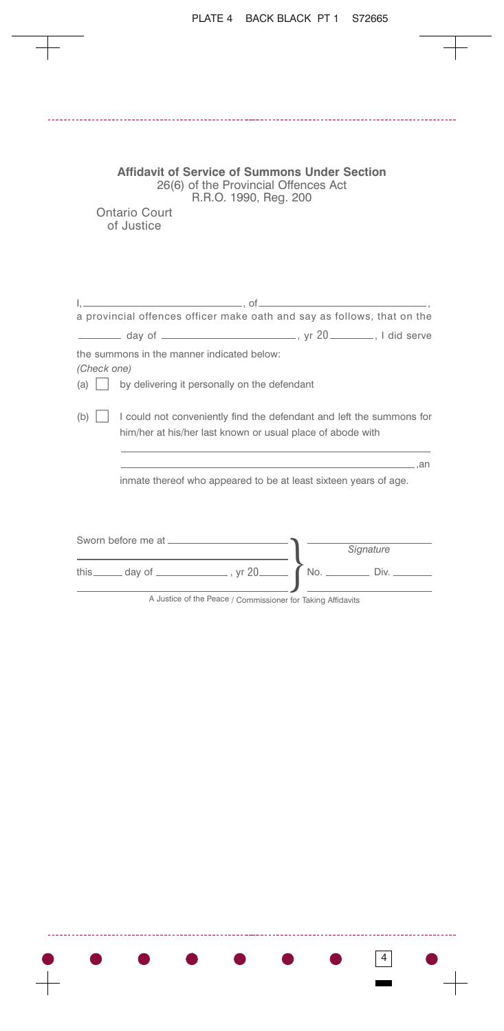| <b>Affidavit of Service of Summons Under Section</b><br>26(6) of the Provincial Offences Act<br>R.R.O. 1990, Reg. 200<br>Ontario Court<br>of Justice |  |
|------------------------------------------------------------------------------------------------------------------------------------------------------|--|
|                                                                                                                                                      |  |
| a provincial offences officer make oath and say as follows, that on the                                                                              |  |
|                                                                                                                                                      |  |
| the summons in the manner indicated below:<br>(Check one)<br>by delivering it personally on the defendant<br>(a)                                     |  |
| I could not conveniently find the defendant and left the summons for<br>(b)<br>him/her at his/her last known or usual place of abode with            |  |
| $\sim$ and $\sim$ and $\sim$                                                                                                                         |  |
| inmate thereof who appeared to be at least sixteen years of age.                                                                                     |  |
| Signature                                                                                                                                            |  |
| Div.<br>No.                                                                                                                                          |  |

----

A Justice of the Peace / Commissioner for Taking Affidavits

 $\bullet$  . The set of  $\bullet$ 

D

 $\bullet$ 

 $\qquad \qquad \bullet$ 

4

. . . . . .

44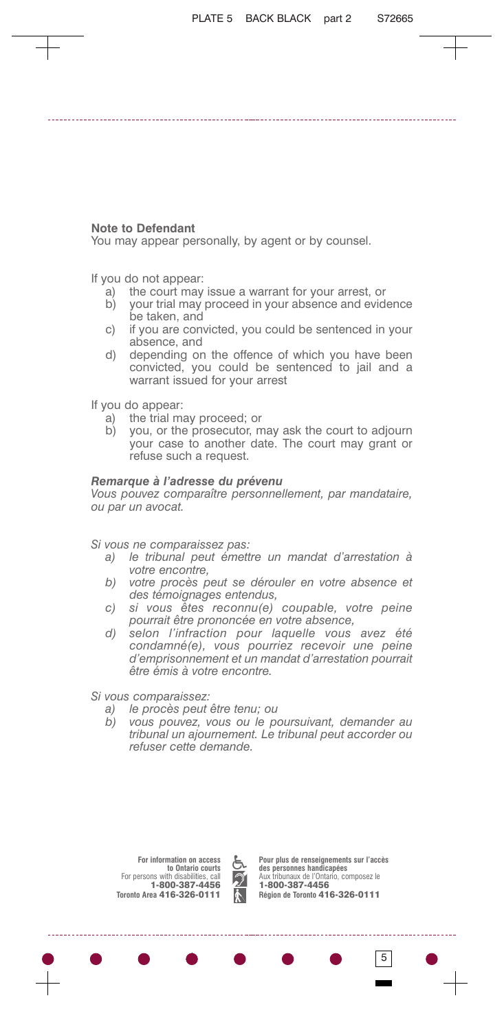## **Note to Defendant**

You may appear personally, by agent or by counsel.

If you do not appear:

- a) the court may issue a warrant for your arrest, or
- b) your trial may proceed in your absence and evidence be taken, and
- c) if you are convicted, you could be sentenced in your absence, and
- d) depending on the offence of which you have been convicted, you could be sentenced to jail and a warrant issued for your arrest

If you do appear:

- a) the trial may proceed; or
- b) you, or the prosecutor, may ask the court to adjourn your case to another date. The court may grant or refuse such a request.

## *Remarque à l'adresse du prévenu*

*Vous pouvez comparaître personnellement, par mandataire, ou par un avocat.*

*Si vous ne comparaissez pas:*

- *a) le tribunal peut émettre un mandat d'arrestation à votre encontre,*
- *b) votre procès peut se dérouler en votre absence et des témoignages entendus,*
- *c) si vous êtes reconnu(e) coupable, votre peine pourrait être prononcée en votre absence,*
- *d) selon l'infraction pour laquelle vous avez été condamné(e), vous pourriez recevoir une peine d'emprisonnement et un mandat d'arrestation pourrait être émis à votre encontre.*

*Si vous comparaissez:*

- *a) le procès peut être tenu; ou*
- *b) vous pouvez, vous ou le poursuivant, demander au tribunal un ajournement. Le tribunal peut accorder ou refuser cette demande.*

**For information on access to Ontario courts** For persons with disabilities, call **1-800-387-4456 Toronto Area 416-326-0111**



**Pour plus de renseignements sur l'accès des personnes handicapées** Aux tribunaux de l'Ontario, composez le **1-800-387-4456 Région de Toronto 416-326-0111**

5